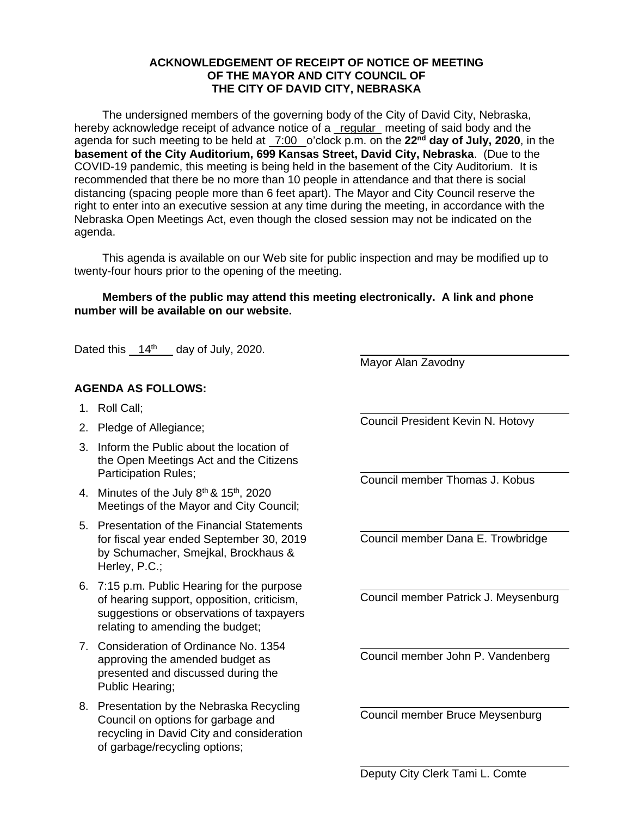## **ACKNOWLEDGEMENT OF RECEIPT OF NOTICE OF MEETING OF THE MAYOR AND CITY COUNCIL OF THE CITY OF DAVID CITY, NEBRASKA**

The undersigned members of the governing body of the City of David City, Nebraska, hereby acknowledge receipt of advance notice of a regular meeting of said body and the agenda for such meeting to be held at 7:00 o'clock p.m. on the **22nd day of July, 2020**, in the **basement of the City Auditorium, 699 Kansas Street, David City, Nebraska**. (Due to the COVID-19 pandemic, this meeting is being held in the basement of the City Auditorium. It is recommended that there be no more than 10 people in attendance and that there is social distancing (spacing people more than 6 feet apart). The Mayor and City Council reserve the right to enter into an executive session at any time during the meeting, in accordance with the Nebraska Open Meetings Act, even though the closed session may not be indicated on the agenda.

This agenda is available on our Web site for public inspection and may be modified up to twenty-four hours prior to the opening of the meeting.

## **Members of the public may attend this meeting electronically. A link and phone number will be available on our website.**

 $\overline{a}$ 

 $\overline{a}$ 

 $\overline{a}$ 

 $\overline{a}$ 

 $\overline{a}$ 

 $\overline{a}$ 

 $\overline{a}$ 

Dated this  $14<sup>th</sup>$  day of July, 2020.

## **AGENDA AS FOLLOWS:**

- 1. Roll Call;
- 2. Pledge of Allegiance;
- 3. Inform the Public about the location of the Open Meetings Act and the Citizens Participation Rules;
- 4. Minutes of the July  $8<sup>th</sup>$  &  $15<sup>th</sup>$ , 2020 Meetings of the Mayor and City Council;
- 5. Presentation of the Financial Statements for fiscal year ended September 30, 2019 by Schumacher, Smejkal, Brockhaus & Herley, P.C.;
- 6. 7:15 p.m. Public Hearing for the purpose of hearing support, opposition, criticism, suggestions or observations of taxpayers relating to amending the budget;
- 7. Consideration of Ordinance No. 1354 approving the amended budget as presented and discussed during the Public Hearing;
- 8. Presentation by the Nebraska Recycling Council on options for garbage and recycling in David City and consideration of garbage/recycling options;

 $\overline{a}$ Council President Kevin N. Hotovy

Mayor Alan Zavodny

Council member Thomas J. Kobus

Council member Dana E. Trowbridge

Council member Patrick J. Meysenburg

Council member John P. Vandenberg

Council member Bruce Meysenburg